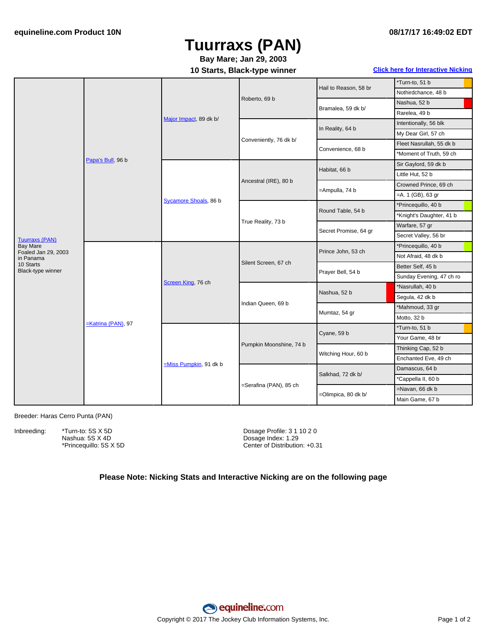# **Tuurraxs (PAN)**

### **10 Starts, Black-type winner Click here for [Interactive](#page-1-0) Nicking Bay Mare; Jan 29, 2003**

|                                          | Papa's Bull, 96 b  | Major Impact, 89 dk b/   | Roberto, 69 b           | Hail to Reason, 58 br | *Turn-to, 51 b           |
|------------------------------------------|--------------------|--------------------------|-------------------------|-----------------------|--------------------------|
|                                          |                    |                          |                         |                       | Nothirdchance, 48 b      |
|                                          |                    |                          |                         | Bramalea, 59 dk b/    | Nashua, 52 b             |
|                                          |                    |                          |                         |                       | Rarelea, 49 b            |
|                                          |                    |                          | Conveniently, 76 dk b/  | In Reality, 64 b      | Intentionally, 56 blk    |
|                                          |                    |                          |                         |                       | My Dear Girl, 57 ch      |
|                                          |                    |                          |                         | Convenience, 68 b     | Fleet Nasrullah, 55 dk b |
|                                          |                    |                          |                         |                       | *Moment of Truth, 59 ch  |
|                                          |                    | Sycamore Shoals, 86 b    | Ancestral (IRE), 80 b   | Habitat, 66 b         | Sir Gaylord, 59 dk b     |
|                                          |                    |                          |                         |                       | Little Hut, 52 b         |
|                                          |                    |                          |                         | =Ampulla, 74 b        | Crowned Prince, 69 ch    |
|                                          |                    |                          |                         |                       | $=$ A. 1 (GB), 63 gr     |
|                                          |                    |                          | True Reality, 73 b      | Round Table, 54 b     | *Princequillo, 40 b      |
| <b>Tuurraxs (PAN)</b><br><b>Bay Mare</b> |                    |                          |                         |                       | *Knight's Daughter, 41 b |
|                                          |                    |                          |                         | Secret Promise, 64 gr | Warfare, 57 gr           |
|                                          |                    |                          |                         |                       | Secret Valley, 56 br     |
|                                          | -Katrina (PAN), 97 | Screen King, 76 ch       | Silent Screen, 67 ch    | Prince John, 53 ch    | *Princequillo, 40 b      |
| Foaled Jan 29, 2003<br>in Panama         |                    |                          |                         |                       | Not Afraid, 48 dk b      |
| 10 Starts<br>Black-type winner           |                    |                          |                         | Prayer Bell, 54 b     | Better Self, 45 b        |
|                                          |                    |                          |                         |                       | Sunday Evening, 47 ch ro |
|                                          |                    |                          | Indian Queen, 69 b      | Nashua, 52 b          | *Nasrullah, 40 b         |
|                                          |                    |                          |                         |                       | Segula, 42 dk b          |
|                                          |                    |                          |                         | Mumtaz, 54 gr         | *Mahmoud, 33 gr          |
|                                          |                    |                          |                         |                       | Motto, 32 b              |
|                                          |                    | $=Miss$ Pumpkin, 91 dk b | Pumpkin Moonshine, 74 b | Cyane, 59 b           | *Turn-to, 51 b           |
|                                          |                    |                          |                         |                       | Your Game, 48 br         |
|                                          |                    |                          |                         | Witching Hour, 60 b   | Thinking Cap, 52 b       |
|                                          |                    |                          |                         |                       | Enchanted Eve, 49 ch     |
|                                          |                    |                          | =Serafina (PAN), 85 ch  | Salkhad, 72 dk b/     | Damascus, 64 b           |
|                                          |                    |                          |                         |                       | *Cappella II, 60 b       |
|                                          |                    |                          |                         | =Olimpica, 80 dk b/   | =Navan, 66 dk b          |
|                                          |                    |                          |                         |                       | Main Game, 67 b          |

Breeder: Haras Cerro Punta (PAN)

Inbreeding: \*Turn-to: 5S X 5D Nashua: 5S X 4D

\*Princequillo: 5S X 5D

Dosage Profile: 3 1 10 2 0 Dosage Index: 1.29 Center of Distribution: +0.31

#### **Please Note: Nicking Stats and Interactive Nicking are on the following page**